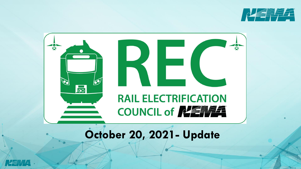

1



## **October 20, 2021- Update**

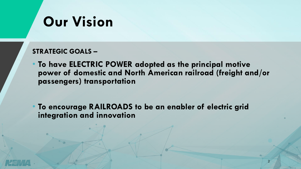## **Our Vision**

### **STRATEGIC GOALS –**

• **To have ELECTRIC POWER adopted as the principal motive power of domestic and North American railroad (freight and/or passengers) transportation** 

• **To encourage RAILROADS to be an enabler of electric grid integration and innovation**

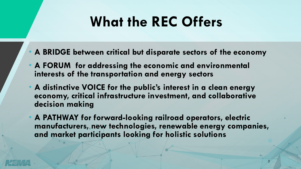## **What the REC Offers**

- **A BRIDGE between critical but disparate sectors of the economy**
- **A FORUM for addressing the economic and environmental interests of the transportation and energy sectors**
- **A distinctive VOICE for the public's interest in a clean energy economy, critical infrastructure investment, and collaborative decision making**
- **A PATHWAY for forward-looking railroad operators, electric manufacturers, new technologies, renewable energy companies, and market participants looking for holistic solutions**

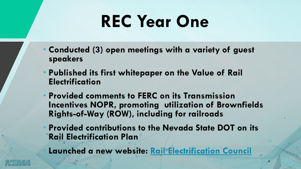# **REC Year One**

- **Conducted (3) open meetings with a variety of guest speakers**
- **Published its first whitepaper on the Value of Rail Electrification**
- **Provided comments to FERC on its Transmission Incentives NOPR, promoting utilization of Brownfields Rights-of-Way (ROW), including for railroads**
- **Provided contributions to the Nevada State DOT on its Rail Electrification Plan**

• **Launched a new website: [Rail Electrification Council](https://www.nema.org/directory/nema-councils/rail-electrification-council)**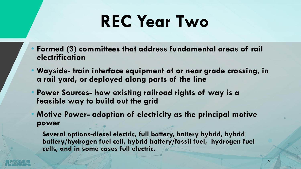# **REC Year Two**

- **Formed (3) committees that address fundamental areas of rail electrification**
- **Wayside- train interface equipment at or near grade crossing, in a rail yard, or deployed along parts of the line**
- **Power Sources- how existing railroad rights of way is a feasible way to build out the grid**
- **Motive Power- adoption of electricity as the principal motive power**

**Several options-diesel electric, full battery, battery hybrid, hybrid battery/hydrogen fuel cell, hybrid battery/fossil fuel, hydrogen fuel cells, and in some cases full electric.** 

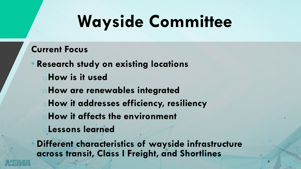# **Wayside Committee**

### **Current Focus**

• **Research study on existing locations** o**How is it used** o**How are renewables integrated** o**How it addresses efficiency, resiliency** o**How it affects the environment** o**Lessons learned**

• **Different characteristics of wayside infrastructure across transit, Class I Freight, and Shortlines**

 $\overline{6}$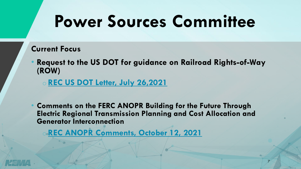# **Power Sources Committee**

### **Current Focus**

• **Request to the US DOT for guidance on Railroad Rights-of-Way (ROW)**

o **[REC US DOT Letter, July 26,2021](https://www.nema.org/docs/default-source/council-documents-library/documents/us-dot-letter-2021-7-26.pdf?sfvrsn=50dcee0e_0)**

• **Comments on the FERC ANOPR Building for the Future Through Electric Regional Transmission Planning and Cost Allocation and Generator Interconnection**

o **[REC ANOPR Comments, October 12, 2021](https://www.nema.org/docs/default-source/council-documents-library/documents/anopr-comments-october-12-2021.pdf?sfvrsn=f5622235_4)**

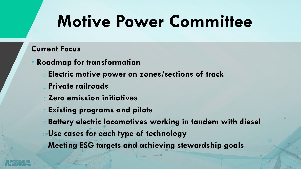# **Motive Power Committee**

### **Current Focus**

- **Roadmap for transformation** 
	- o **Electric motive power on zones/sections of track**
	- o **Private railroads**
	- o **Zero emission initiatives**
	- o **Existing programs and pilots**
	- **Battery electric locomotives working in tandem with diesel**
	- o **Use cases for each type of technology**
	- **Meeting ESG targets and achieving stewardship goals**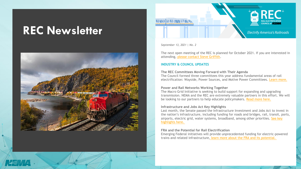### **REC Newsletter**





*September 13, 2021 | No. 2*

**ROBAN NORTH STRONG** 

The next open meeting of the REC is planned for October 2021. If you are interested in attending, please contact Steve Griffith.

#### **INDUSTRY & COUNCIL UPDATES**

#### **The REC Committees Moving Forward with Their Agenda**

The Council formed three committees this year address fundamental areas of rail electrification: Wayside, Power Sources, and Motive Power Committees. Learn more.

#### **Power and Rail Networks Working Together**

The Macro Grid Initiative is seeking to build support for expanding and upgrading transmission. NEMA and the REC are extremely valuable partners in this effort. We will be looking to our partners to help educate policymakers. Read more here.

#### **Infrastructure and Jobs Act Key Highlights**

Last month, the Senate passed the Infrastructure Investment and Jobs Act to invest in the nation's infrastructure, including funding for roads and bridges, rail, transit, ports, airports, electric grid, water systems, broadband, among other priorities. See key highlights here.

#### **FRA and the Potential for Rail Electrification**

Emerging Federal initiatives will provide unprecedented funding for electric-powered trains and related infrastructure, learn more about the FRA and its potential.